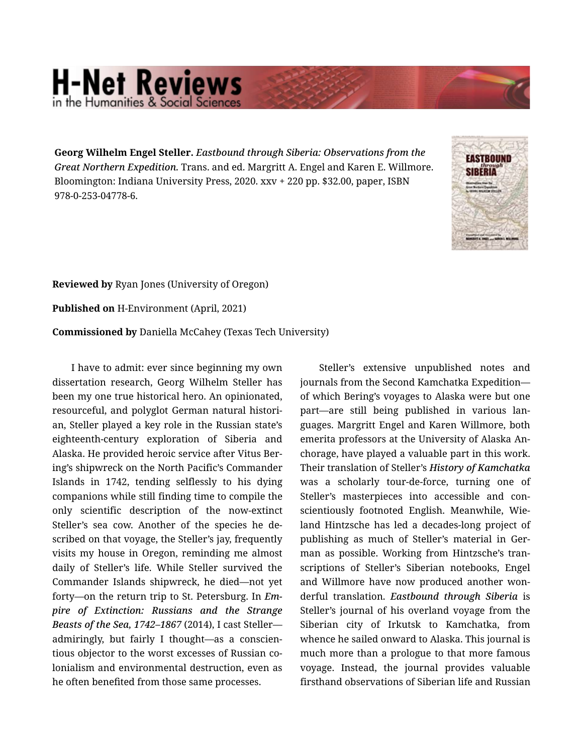## **H-Net Reviews** in the Humanities & Social Scienc

**Georg Wilhelm Engel Steller.** *Eastbound through Siberia: Observations from the Great Northern Expedition.* Trans. and ed. Margritt A. Engel and Karen E. Willmore. Bloomington: Indiana University Press, 2020. xxv + 220 pp. \$32.00, paper, ISBN 978-0-253-04778-6.



**Reviewed by** Ryan Jones (University of Oregon)

**Published on** H-Environment (April, 2021)

**Commissioned by** Daniella McCahey (Texas Tech University)

I have to admit: ever since beginning my own dissertation research, Georg Wilhelm Steller has been my one true historical hero. An opinionated, resourceful, and polyglot German natural histori‐ an, Steller played a key role in the Russian state's eighteenth-century exploration of Siberia and Alaska. He provided heroic service after Vitus Ber‐ ing's shipwreck on the North Pacific's Commander Islands in 1742, tending selflessly to his dying companions while still finding time to compile the only scientific description of the now-extinct Steller's sea cow. Another of the species he de‐ scribed on that voyage, the Steller's jay, frequently visits my house in Oregon, reminding me almost daily of Steller's life. While Steller survived the Commander Islands shipwreck, he died—not yet forty—on the return trip to St. Petersburg. In *Em‐ pire of Extinction: Russians and the Strange Beasts of the Sea, 1742–1867* (2014), I cast Steller admiringly, but fairly I thought—as a conscien‐ tious objector to the worst excesses of Russian co‐ lonialism and environmental destruction, even as he often benefited from those same processes.

Steller's extensive unpublished notes and journals from the Second Kamchatka Expedition of which Bering's voyages to Alaska were but one part—are still being published in various lan‐ guages. Margritt Engel and Karen Willmore, both emerita professors at the University of Alaska An‐ chorage, have played a valuable part in this work. Their translation of Steller's *History of Kamchatka* was a scholarly tour-de-force, turning one of Steller's masterpieces into accessible and con‐ scientiously footnoted English. Meanwhile, Wie‐ land Hintzsche has led a decades-long project of publishing as much of Steller's material in German as possible. Working from Hintzsche's tran‐ scriptions of Steller's Siberian notebooks, Engel and Willmore have now produced another won‐ derful translation. *Eastbound through Siberia* is Steller's journal of his overland voyage from the Siberian city of Irkutsk to Kamchatka, from whence he sailed onward to Alaska. This journal is much more than a prologue to that more famous voyage. Instead, the journal provides valuable firsthand observations of Siberian life and Russian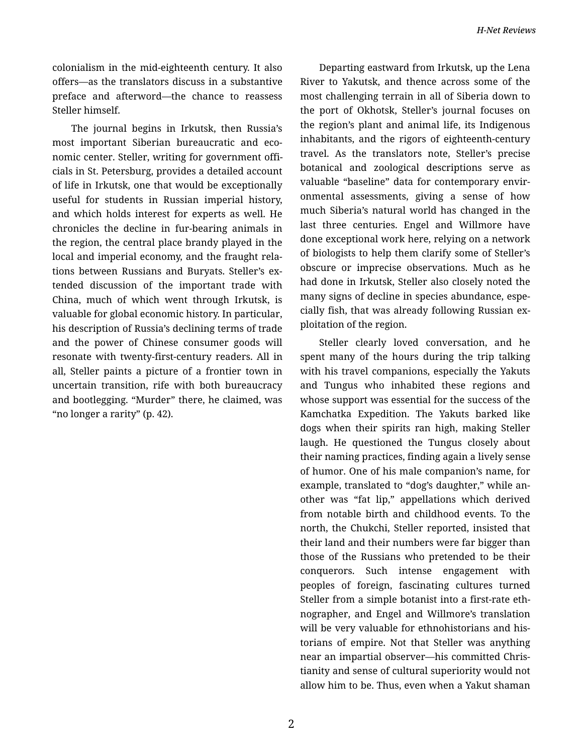colonialism in the mid-eighteenth century. It also offers—as the translators discuss in a substantive preface and afterword—the chance to reassess Steller himself.

The journal begins in Irkutsk, then Russia's most important Siberian bureaucratic and eco‐ nomic center. Steller, writing for government offi‐ cials in St. Petersburg, provides a detailed account of life in Irkutsk, one that would be exceptionally useful for students in Russian imperial history, and which holds interest for experts as well. He chronicles the decline in fur-bearing animals in the region, the central place brandy played in the local and imperial economy, and the fraught rela‐ tions between Russians and Buryats. Steller's ex‐ tended discussion of the important trade with China, much of which went through Irkutsk, is valuable for global economic history. In particular, his description of Russia's declining terms of trade and the power of Chinese consumer goods will resonate with twenty-first-century readers. All in all, Steller paints a picture of a frontier town in uncertain transition, rife with both bureaucracy and bootlegging. "Murder" there, he claimed, was "no longer a rarity" (p. 42).

Departing eastward from Irkutsk, up the Lena River to Yakutsk, and thence across some of the most challenging terrain in all of Siberia down to the port of Okhotsk, Steller's journal focuses on the region's plant and animal life, its Indigenous inhabitants, and the rigors of eighteenth-century travel. As the translators note, Steller's precise botanical and zoological descriptions serve as valuable "baseline" data for contemporary envir‐ onmental assessments, giving a sense of how much Siberia's natural world has changed in the last three centuries. Engel and Willmore have done exceptional work here, relying on a network of biologists to help them clarify some of Steller's obscure or imprecise observations. Much as he had done in Irkutsk, Steller also closely noted the many signs of decline in species abundance, espe‐ cially fish, that was already following Russian ex‐ ploitation of the region.

Steller clearly loved conversation, and he spent many of the hours during the trip talking with his travel companions, especially the Yakuts and Tungus who inhabited these regions and whose support was essential for the success of the Kamchatka Expedition. The Yakuts barked like dogs when their spirits ran high, making Steller laugh. He questioned the Tungus closely about their naming practices, finding again a lively sense of humor. One of his male companion's name, for example, translated to "dog's daughter," while an‐ other was "fat lip," appellations which derived from notable birth and childhood events. To the north, the Chukchi, Steller reported, insisted that their land and their numbers were far bigger than those of the Russians who pretended to be their conquerors. Such intense engagement with peoples of foreign, fascinating cultures turned Steller from a simple botanist into a first-rate eth‐ nographer, and Engel and Willmore's translation will be very valuable for ethnohistorians and historians of empire. Not that Steller was anything near an impartial observer—his committed Chris‐ tianity and sense of cultural superiority would not allow him to be. Thus, even when a Yakut shaman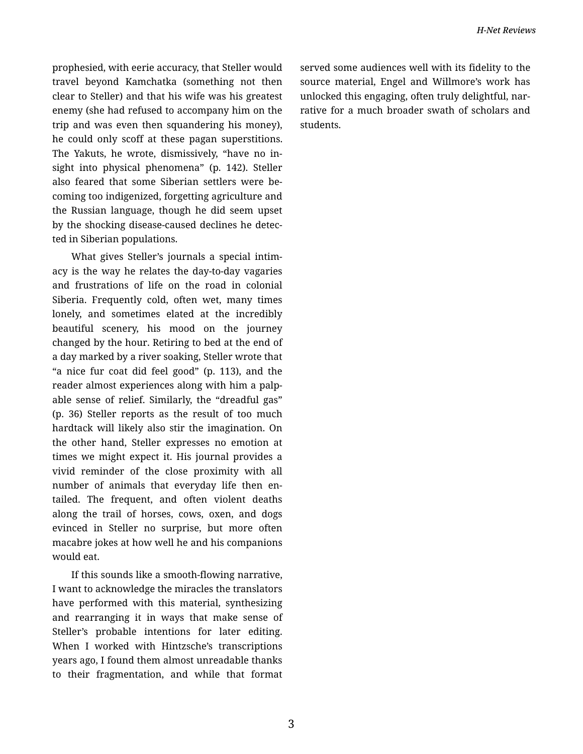prophesied, with eerie accuracy, that Steller would travel beyond Kamchatka (something not then clear to Steller) and that his wife was his greatest enemy (she had refused to accompany him on the trip and was even then squandering his money), he could only scoff at these pagan superstitions. The Yakuts, he wrote, dismissively, "have no in‐ sight into physical phenomena" (p. 142). Steller also feared that some Siberian settlers were be‐ coming too indigenized, forgetting agriculture and the Russian language, though he did seem upset by the shocking disease-caused declines he detec‐ ted in Siberian populations.

What gives Steller's journals a special intim‐ acy is the way he relates the day-to-day vagaries and frustrations of life on the road in colonial Siberia. Frequently cold, often wet, many times lonely, and sometimes elated at the incredibly beautiful scenery, his mood on the journey changed by the hour. Retiring to bed at the end of a day marked by a river soaking, Steller wrote that "a nice fur coat did feel good" (p. 113), and the reader almost experiences along with him a palp‐ able sense of relief. Similarly, the "dreadful gas" (p. 36) Steller reports as the result of too much hardtack will likely also stir the imagination. On the other hand, Steller expresses no emotion at times we might expect it. His journal provides a vivid reminder of the close proximity with all number of animals that everyday life then en‐ tailed. The frequent, and often violent deaths along the trail of horses, cows, oxen, and dogs evinced in Steller no surprise, but more often macabre jokes at how well he and his companions would eat.

If this sounds like a smooth-flowing narrative, I want to acknowledge the miracles the translators have performed with this material, synthesizing and rearranging it in ways that make sense of Steller's probable intentions for later editing. When I worked with Hintzsche's transcriptions years ago, I found them almost unreadable thanks to their fragmentation, and while that format served some audiences well with its fidelity to the source material, Engel and Willmore's work has unlocked this engaging, often truly delightful, nar‐ rative for a much broader swath of scholars and students.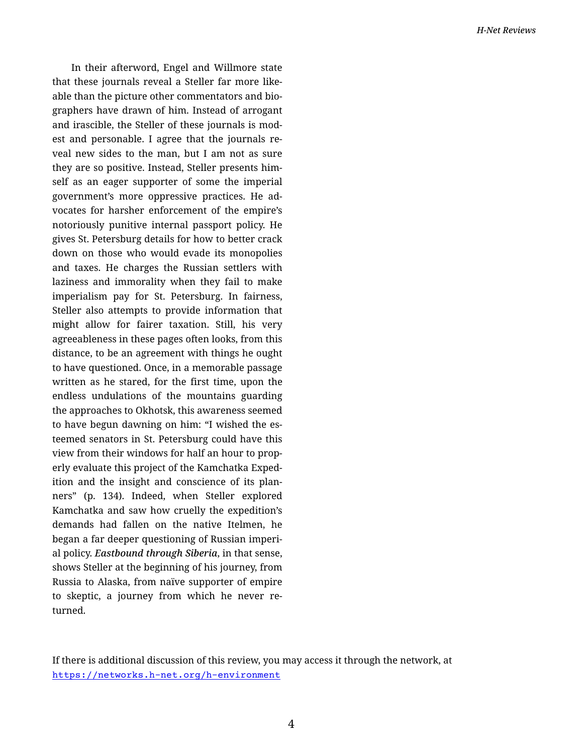In their afterword, Engel and Willmore state that these journals reveal a Steller far more like‐ able than the picture other commentators and bio‐ graphers have drawn of him. Instead of arrogant and irascible, the Steller of these journals is mod‐ est and personable. I agree that the journals re‐ veal new sides to the man, but I am not as sure they are so positive. Instead, Steller presents him‐ self as an eager supporter of some the imperial government's more oppressive practices. He ad‐ vocates for harsher enforcement of the empire's notoriously punitive internal passport policy. He gives St. Petersburg details for how to better crack down on those who would evade its monopolies and taxes. He charges the Russian settlers with laziness and immorality when they fail to make imperialism pay for St. Petersburg. In fairness, Steller also attempts to provide information that might allow for fairer taxation. Still, his very agreeableness in these pages often looks, from this distance, to be an agreement with things he ought to have questioned. Once, in a memorable passage written as he stared, for the first time, upon the endless undulations of the mountains guarding the approaches to Okhotsk, this awareness seemed to have begun dawning on him: "I wished the es‐ teemed senators in St. Petersburg could have this view from their windows for half an hour to prop‐ erly evaluate this project of the Kamchatka Exped‐ ition and the insight and conscience of its plan‐ ners" (p. 134). Indeed, when Steller explored Kamchatka and saw how cruelly the expedition's demands had fallen on the native Itelmen, he began a far deeper questioning of Russian imperi‐ al policy. *Eastbound through Siberia*, in that sense, shows Steller at the beginning of his journey, from Russia to Alaska, from naïve supporter of empire to skeptic, a journey from which he never re‐ turned.

If there is additional discussion of this review, you may access it through the network, at <https://networks.h-net.org/h-environment>